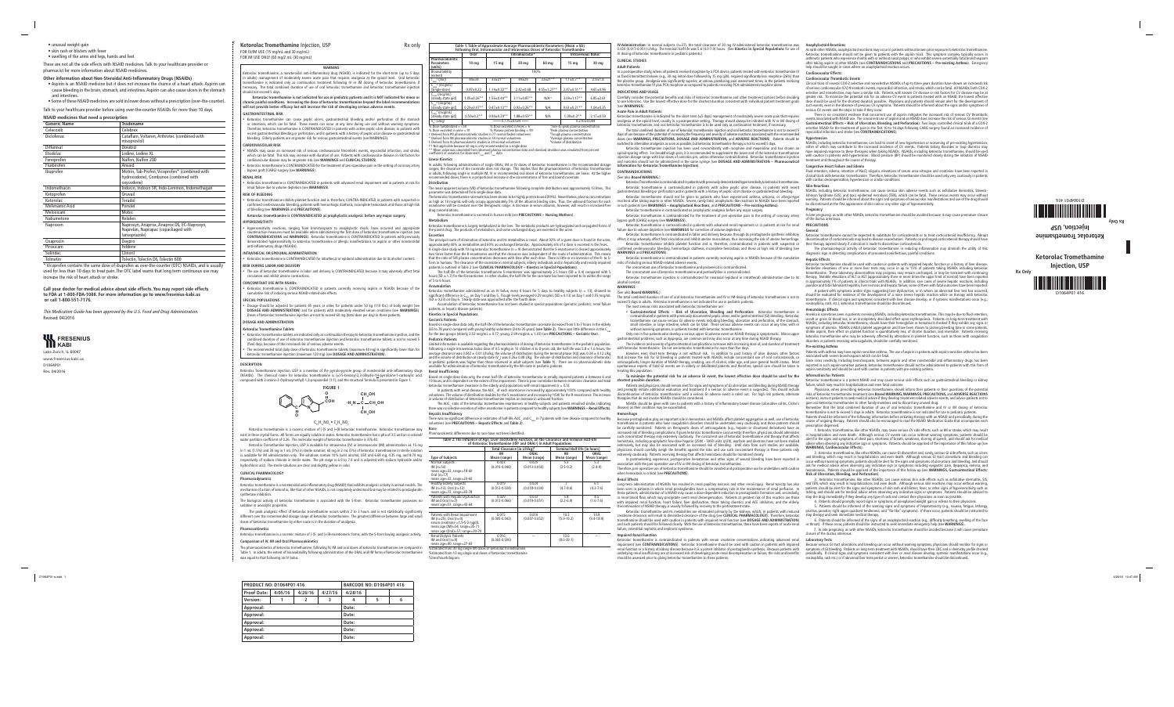- unusual weight gain
- skin rash or blisters with fever
- swelling of the arms and legs, hands and feet

These are not all the side effects with NSAID medicines. Talk to your healthcare provider or pharmacist for more information about NSAID medicines.

# **Other information about Non-Steroidal Anti-Inflammatory Drugs (NSAIDs)**

- Aspirin is an NSAID medicine but it does not increase the chance of a heart attack. Aspirin can cause bleeding in the brain, stomach, and intestines. Aspirin can also cause ulcers in the stomach and intestines.
- Some of these NSAID medicines are sold in lower doses without a prescription (over-the-counter).

# Talk to your healthcare provider before using over-the-counter NSAIDs for more than 10 days.

### **NSAID medicines that need a prescription**

| <b>Generic Name</b> | <b>Tradename</b>                                                                                      |
|---------------------|-------------------------------------------------------------------------------------------------------|
| Celecoxib           | Celebrex                                                                                              |
| Diclofenac          | Cataflam, Voltaren, Arthrotec (combined with<br>misoprostol)                                          |
| <b>Diflunisal</b>   | <b>Dolobid</b>                                                                                        |
| Etodolac            | Lodine, Lodine XL                                                                                     |
| Fenoprofen          | Nalfon, Nalfon 200                                                                                    |
| Flurbirofen         | Ansaid                                                                                                |
| Ibuprofen           | Motrin, Tab-Profen, Vicoprofen* (combined with<br>hydrocodone), Combunox (combined with<br>oxycodone) |
| Indomethacin        | Indocin, Indocin SR, Indo-Lemmon, Indomethagan                                                        |
| Ketoprofen          | Oruvail                                                                                               |
| Ketorolac           | Toradol                                                                                               |
| Mefenamic Acid      | Ponstel                                                                                               |
| Meloxicam           | <b>Mobic</b>                                                                                          |
| Nabumetone          | Relafen                                                                                               |
| Naproxen            | Naprosyn, Anaprox, Anaprox DS, EC-Naproxyn,<br>Naprelan, Naprapac (copackaged with<br>lansoprazole)   |
| Oxaprozin           | Daypro                                                                                                |
| Piroxicam           | Feldene                                                                                               |
| Sulindac            | Clinoril                                                                                              |
| <b>Tolmetin</b>     | Tolectin, Tolectin DS, Tolectin 600                                                                   |

\* Vicoprofen contains the same dose of ibuprofen as over-the-counter (OTC) NSAIDs, and is usually used for less than 10 days to treat pain. The OTC label warns that long term continuous use may increase the risk of heart attack or stroke.

# **Call your doctor for medical advice about side effects. You may report side effects to FDA at 1-800-FDA-1088. For more information go to www.fresenius-kabi.us or call 1-800-551-7176.**

This Medication Guide has been approved by the U.S. Food and Drug Administration. Revised: 04/2016

# **FRESENIUS KABI**

Lake Zurich, IL 60047 www.fresenius-kabi.us D1064P01 Rev. 04/2016

- NSAIDs may cause an increased risk of serious cardiovascular thrombotic events, myocardial infarction, and stroke which can be fatal. This risk may increase with duration of use. Patients with cardiovascular disease or risk factors fo cardiovascular disease may be at greater risk (see **WARNINGS** and **CLINICAL STUDIES**).
- **Ketorolac tromethamine is CONTRAINDICATED for the treatment of peri-operative pain in the setting of coronary artery** bypass graft (CABG) surgery (see **WARNINGS**).

FOR IM USE ONLY (60 mg/2 mL (30 mg/mL)

should not exceed 5 days

• Ketorolac tromethamine inhibits platelet function and is, therefore, CONTRA-INDICATED in patients with suspected o confirmed cerebrovascular bleeding, patients with hemorrhagic diathesis, incomplete hemostasis and those at high risk of bleeding (see **WARNINGS** and **PRECAUTIONS**).

**WARNING** Ketorolac tromethamine, a nonsteroidal anti-inflammatory drug (NSAID), is indicated for the short-term (up to 5 days in adults) management of moderately severe acute pain that requires analgesia at the opioid level. Oral ketorolac tromethamine is indicated only as continuation treatment following IV or IM dosing of ketorolac tromethamine, if necessary. The total combined duration of use of oral ketorolac tromethamine and ketorolac tromethamine injection

**Ketorolac tromethamine is not indicated for use in pediatric patients and it is NOT indicated for minor or chronic painful conditions. Increasing the dose of ketorolac tromethamine beyond the label recommendations** 

**will not provide better efficacy but will increase the risk of developing serious adverse events.**

**GASTROINTESTINAL RISK**

• Ketorolac tromethamine can cause peptic ulcers, gastrointestinal bleeding and/or perforation of the stomach or intestines, which can be fatal. These events can occur at any time during use and without warning symptoms. Therefore, ketorolac tromethamine is CONTRAINDICATED in patients with active peptic ulcer disease, in patients with recent gastrointestinal bleeding or perforation, and in patients with a history of peptic ulcer disease or gastrointestinal

bleeding. Elderly patients are at greater risk for serious gastrointestinal events (see WARNINGS).

**CARDIOVASCULAR RISK**

### **RENAL RISK**

• Ketorolac tromethamine is CONTRAINDICATED in patients with advanced renal impairment and in patients at risk for renal failure due to volume depletion (see **WARNINGS**).

### **RISK OF BLEEDING**

# **Ketorolac tromethamine is CONTRAINDICATED as prophylactic analgesic before any major surgery. HYPERSENSITIVITY**

• Hypersensitivity reactions, ranging from bronchospasm to anaphylactic shock, have occurred and appropriate counteractive measures must be available when administering the first dose of ketorolac tromethamine injection (see **CONTRAINDICATIONS** and **WARNINGS**). Ketorolac tromethamine is CONTRAINDICATED in patients with previously demonstrated hypersensitivity to ketorolac tromethamine or allergic manifestations to aspirin or other nonsteroidal anti-inflammatory drugs (NSAIDs).

### **INTRATHECAL OR EPIDURAL ADMINISTRATION**

 $\mathsf{V}_{\scriptscriptstyle{\mathsf{B}}}$ % Dose metabolized  $=$  <50  $\%$  Dose excreted in feces  $=$  6  $\frac{1}{2}$ % Dose excreted in urine  $=$ † Derived from PO pharmaco Derived from IM pharmacokinetic studies in 54 normal volunteer  $\ddagger$  Derived from IV pharmacokinetic studies in 24 normal volunteer †† Not applicable because 60 mg is only recommended as a single dose

- • Ketorolac tromethamine is CONTRAINDICATED for intrathecal or epidural administration due to its alcohol content. **RISK DURING LABOR AND DELIVERY**
- • The use of ketorolac tromethamine in labor and delivery is CONTRAINDICATED because it may adversely affect fetal circulation and inhibit uterine contractions.

## **CONCOMITANT USE WITH NSAIDs**

• Ketorolac tromethamine is CONTRAINDICATED in patients currently receiving aspirin or NSAIDs because of the cumulative risk of inducing serious NSAID-related side effects.

The ketorolac tromethamine racemate has been shown to be highly protein bound (99%). Nevertheless, plasma concentrations as high as 10 mcg/mL will only occupy approximately 5% of the albumin binding sites. Thus, the unbound fraction for each enantiomer will be constant over the therapeutic range. A decrease in serum albumin, however, will result in increased free in such patients (see WARNINGS - Anaphylactoid Reactions, and PRECAUTIONS - Pre-existing Asthma).

## **SPECIAL POPULATIONS**

• Dosage should be adjusted for patients 65 years or older, for patients under 50 kg (110 lbs.) of body weight (see **DOSAGE AND ADMINISTRATION**) and for patients with moderately elevated serum creatinine (see **WARNINGS**). Doses of ketorolac tromethamine injection are not to exceed 60 mg (total dose per day) in these patients. **DOSAGE AND ADMINISTRATION**

The principal route of elimination of ketorolac and its metabolites is renal. About 92% of a given dose is found in the urine, approximately 40% as metabolites and 60% as unchanged ketorolac. Approximately 6% of a dose is excreted in the feces. A single-dose study with 10 mg ketorolac tromethamine ( $n = 9$ ) demonstrated that the S-enantiomer is cleared approximately two times faster than the R-enantiomer and that the clearance was independent of the route of administration. This means that the ratio of S/R plasma concentrations decreases with time after each dose. There is little or no inversion of the R- to Sform in humans. The clearance of the racemate in normal subjects, elderly individuals and in hepatically and renally impaired patients is outlined in Table 2 (see **CLINICAL PHARMACOLOGY – Kinetics in Special Populations**). The half-life of the ketorolac tromethamine S-enantiomer was approximately 2.5 hours (SD  $\pm$  0.4) compared with 5

hours (SD  $\pm$  1.7) for the R-enantiomer. In other studies, the half-life for the racemate has been reported to lie within the range

Ketorolac tromethamine administered as an IV bolus, every 6 hours for 5 days to healthy subjects ( $n = 13$ ), showed no significant difference in C<sub>max</sub> on Day 1 and Day 5. Trough levels averaged 0.29 mcg/mL (SD  $\pm$  0.13) on Day 1 and 0.55 mcg/mL  $(SD \pm 0.23)$  on Day 6. Steady state was approached after the fourth dose.

# **Ketorolac Tromethamine Tablets**

- • Ketorolac tromethamine tablets are indicated only as continuation therapy to ketorolac tromethamine injection, and the
- combined duration of use of ketorolac tromethamine injection and ketorolac tromethamine tablets is not to exceed 5 (five) days, because of the increased risk of serious adverse events.
- The recommended total daily dose of ketorolac tromethamine tablets (maximum 40 mg) is significantly lower than for ketorolac tromethamine injection (maximum 120 mg) (see **DOSAGE AND ADMINISTRATION**).

# **DESCRIPTION**

Ketorolac Tromethamine Injection, USP is a member of the pyrrolo-pyrrole group of nonsteroidal anti-inflammatory drugs **Renal Insufficiency** (NSAIDs). The chemical name for ketorolac tromethamine is (±)-5-benzoyl-2,3-dihydro-1H-pyrrolizine-1-carboxylic acid, compound with 2-amino-2-(hydroxymethyl)-1,3-propanediol (1:1), and the structural formula is presented in Figure 1.



$$
C_{15}H_{13}NO_3 \bullet C_4H_{11}NO_3
$$

Ketorolac tromethamine is a racemic mixture of [-]S and [+]R ketorolac tromethamine. Ketorolac tromethamine may exist in three crystal forms. All forms are equally soluble in water. Ketorolac tromethamine has a pKa of 3.5 and an n-octanol/ water partition coefficient of 0.26. The molecular weight of ketorolac tromethamine is 376.40.

Ketorolac Tromethamine Injection, USP is available for intravenous (IV) or intramuscular (IM) administration as: 15 mg in 1 mL (1.5%) and 30 mg in 1 mL (3%) in sterile solution; 60 mg in 2 mL (3%) of ketorolac tromethamine in sterile solution is available for IM administration only. The solutions contain 10% (w/v) alcohol, USP, and 6.68 mg, 4.35 mg, and 8.70 mg, respectively, of sodium chloride in sterile water. The pH range is 6.9 to 7.9 and is adjusted with sodium hydroxide and/or hydrochloric acid. The sterile solutions are clear and slightly yellow in color.

# **CLINICAL PHARMACOLOGY**

## **Pharmacodynamics**

Ketorolac tromethamine is a nonsteroidal anti-inflammatory drug (NSAID) that exhibits analgesic activity in animal models. The mechanism of action of ketorolac, like that of other NSAIDs, is not completely understood but may be related to prostaglandin synthetase inhibition.

**Type of Subjects** Normal Subjects IM  $(n=54)$ mean age=32, range=18-6 Oral (n=77) nean age=32, range=20-Healthy Elderly Subjects  $IM (n=13)$ , Oral  $(n=12)$ mean age=72, range= ents with Hepatic Dys IM and Oral (n=7) mean age=51, range=43-

The biological activity of ketorolac tromethamine is associated with the S-form. Ketorolac tromethamine possesses no sedative or anxiolytic properties.

The peak analgesic effect of ketorolac tromethamine occurs within 2 to 3 hours and is not statistically significantly different over the recommended dosage range of ketorolac tromethamine. The greatest difference between large and small doses of ketorolac tromethamine by either route is in the duration of analgesia.

Patients with Renal Impair IM (n=25), Oral (n=9) serum creatinine  $=1.9-5.0$ mean age (IM)=54, range= mean age (Oral)=57, rang Renal Dialysis Patients IM and Oral (n=9) mean age=40, range=27-63 3 Liters/hour/kilogram

# **Pharmacokinetics**

Ketorolac tromethamine is a racemic mixture of [-]S- and [+]R-enantiomeric forms, with the S-form having analgesic activity.

# **Comparison of IV, IM and Oral Pharmacokinetics**

The pharmacokinetics of ketorolac tromethamine, following IV, IM and oral doses of ketorolac tromethamine are compared in Table 1. In adults, the extent of bioavailability following administration of the ORAL and IM forms of ketorolac tromethamine was equal to that following an IV bolus.



| Table 1: Table of Approximate Average Pharmacokinetic Parameters (Mean $\pm$ SD)                                                          |                                                                   |                    |                                                                                          |                    |                                |                 |
|-------------------------------------------------------------------------------------------------------------------------------------------|-------------------------------------------------------------------|--------------------|------------------------------------------------------------------------------------------|--------------------|--------------------------------|-----------------|
| Following Oral, Intramuscular and Intravenous Doses of Ketorolac Tromethamine                                                             |                                                                   |                    |                                                                                          |                    |                                |                 |
|                                                                                                                                           | Oral <sup>+</sup>                                                 | Intramuscular*     |                                                                                          |                    | Intravenous Bolus <sup>#</sup> |                 |
| Pharmacokinetic<br><b>Parameters</b><br>(units)                                                                                           | 10 <sub>mg</sub>                                                  | 15 <sub>mg</sub>   | 30 mg                                                                                    | 60 mg              | 15 <sub>mg</sub>               | 30 mg           |
| Bioavailability<br>(extent)                                                                                                               | 100%                                                              |                    |                                                                                          |                    |                                |                 |
| $T_{max}$ <sup>1</sup> (min)                                                                                                              | $44 + 34$                                                         | $33 \pm 21$ **     | $44+29$                                                                                  | $33 \pm 21$ **     | $1.1 \pm 0.7$ **               | $2.9 + 1.8$     |
| $C_{\text{max}}^2$ (mcg/mL)<br>[Single-dose]                                                                                              | $0.87 + 0.22$                                                     | $1.14 \pm 0.32$ ** | $2.42 \pm 0.68$                                                                          | $4.55 \pm 1.27$ ** | $2.47 \pm 0.51$ **             | $4.65 \pm 0.96$ |
| $C_{\text{max}}$ (mcg/mL)<br>[steady state qid]                                                                                           | $1.05 \pm 0.26$ **                                                | $1.56 \pm 0.44$ ** | $3.11 \pm 0.87$ **                                                                       | $N/A^{++}$         | $3.09 \pm 1.17**$              | $6.85 \pm 2.61$ |
| $C_{\min}^3$ (mcg/mL)<br>[steady state qid]                                                                                               | $0.29 \pm 0.07***$                                                | $0.47 \pm 0.13***$ | $0.93 \pm 0.26$ **                                                                       | N/A                | $0.61 \pm 0.21$ **             | $1.04 \pm 0.35$ |
| $C_{\text{avg}}^4$ (mcg/mL)<br>[steady state qid]                                                                                         | $0.59 \pm 0.2$ **                                                 | $0.94 \pm 0.29$ ** | $1.88 \pm 0.59$ **                                                                       | N/A                | $1.09 \pm 0.3$ **              | $2.17 \pm 0.59$ |
| $V_a^5$ (L/kg)                                                                                                                            | $-$ 0.175 $\pm$ 0.039 $-$<br>$0.210 \pm 0.044$                    |                    |                                                                                          |                    |                                |                 |
| Dose metabolized $=$ <50<br>Dose excreted in urine = 91                                                                                   | % Dose excreted in feces $= 6$<br>% Plasma protein binding $= 99$ |                    | <sup>1</sup> Time-to-peak plasma concentration<br><sup>2</sup> Peak plasma concentration |                    |                                |                 |
| Derived from PO pharmacokinetic studies in 77 normal fasted volunteers<br>Derived from IM pharmacokinetic studies in 54 normal volunteers |                                                                   |                    | <sup>3</sup> Trough plasma concentration<br><sup>4</sup> Average plasma concentration    |                    |                                |                 |

\* Mean value was simulated from observed plasma concentration data and standard deviation was simulated from percen coefficient of variation for observed  $C_{max}$  and  $T_{max}$  data

Volume of distribution

**Linear Kinetics**

**WARNINGS** and **PRECAUTIONS**). Ketorolac tromethamine is contraindicated in patients currently receiving aspirin or NSAIDs because of the cumulative ks of inducing serious NSAID-related adverse events.

In adults, following administration of single ORAL, IM or IV doses of ketorolac tromethamine in the recommended dosage ranges, the clearance of the racemate does not change. This implies that the pharmacokinetics of ketorolac tromethamine in adults, following single or multiple IM, IV or recommended oral doses of ketorolac tromethamine, are linear. At the higher recommended doses, there is a proportional increase in the concentrations of free and bound racemate.

**Distribution**

drug concentration:

The mean apparent volume (Vß**)** of ketorolac tromethamine following complete distribution was approximately 13 liters. This parameter was determined from single-dose data.

> Only one in five patients who develop a serious upper GI adverse event on NSAID therapy is symptomatic. Minor upper ointestinal problems, such as dyspepsia, are common and may also occur at any time during NSAID therapy.

Ketorolac tromethamine is excreted in human milk (see **PRECAUTIONS – Nursing Mothers**).

**Metabolism**

Ketorolac tromethamine is largely metabolized in the liver. The metabolic products are hydroxylated and conjugated forms of the parent drug. The products of metabolism, and some unchanged drug, are excreted in the urine.

**Excretion**

**Accumulation** 

amine should be avoided and postoperative use be undertaken with cautio when hemostasis is critical (see **PRECAUTIONS**).

of 5 to 6 hours.

Accumulation of ketorolac tromethamine has not been studied in special populations (geriatric, pediatric, renal failure

patients, or hepatic disease patients). **Kinetics in Special Populations Geriatric Patients** 

Based on single-dose data only, the half-life of the ketorolac tromethamine racemate increased from 5 to 7 hours in the elderly (65 to 78 years) compared with young healthy volunteers (24 to 35 years) (see Table 2). There was little difference in the C<sub>max</sub> for the two groups (elderly, 2.52 mcg/mL ± 0.77; young, 2.99 mcg/mL ± 1.03) (see **PRECAUTIONS – Geriatric Use**).

0.030 (0.017-0.051) L/h/kg. The terminal half-life was 5.6 (4.0-7.9) hours. (See Kinetics in Special Populations for use of As with other NSAIDs, anaphylactoid reactions may occur in patients without known prior exposure t Ketorolac tromethamine should not be given to patients with the aspirin triad. This symptom complex typically occurs in asthmatic patients who experience rhinitis with or without nasal polyps, or who exhibit severe, potentially fatal bronchospasm after taking aspirin or other NSAIDs (see **CONTRAINDICATIONS** and **PRECAUTIONS – Pre-existing Asthma**). Emergency help should be sought in cases where an anaphylactoid reaction occurs.

volunteers. The volume of distribution doubles for the S-enantiomer and increases by 1/5th for the R-enantiomer. The increase in volume of distribution of ketorolac tromethamine implies an increase in unbound fraction.

**Hepatic Insufficiency**

**Race**

# Pharmacokinetic differences due to race have not been identified.

**Table 2: The Influence of Age, Liver and Kidney Function, on the Clearance and Terminal Half-life of Ketorolac Tromethamine (IM1 and ORAL2 ) in Adult Populations Total Clearance [in L/h/kg]3 Terminal Half-life [in hours]**

|            | Total Clearance (in L/h/Kq) <sup>2</sup> |                   | Terminal Half-IIfe (in nours) |                |  |
|------------|------------------------------------------|-------------------|-------------------------------|----------------|--|
|            | IM                                       | <b>ORAL</b>       | IM                            | <b>ORAL</b>    |  |
|            | Mean (range)                             | Mean (range)      | Mean (range)                  | Mean (range)   |  |
|            | 0.023                                    | 0.025             | 5.3                           | 5.3            |  |
|            | $(0.010 - 0.046)$                        | $(0.013 - 0.050)$ | $(3.5-9.2)$                   | $(2.4-9)$      |  |
| -60        |                                          |                   |                               |                |  |
| -60        |                                          |                   |                               |                |  |
|            | 0.019                                    | 0.024             | 7                             | 6.1            |  |
|            | $(0.013 - 0.034)$                        | $(0.018 - 0.034)$ | $(4.7 - 8.6)$                 | $(4.3 - 7.6)$  |  |
| -78        |                                          |                   |                               |                |  |
| function   | 0.029                                    | 0.033             | 5.4                           | 4.5            |  |
|            | $(0.013 - 0.066)$                        | $(0.019 - 0.051)$ | $(2.2 - 6.9)$                 | $(1.6 - 7.6)$  |  |
| -64        |                                          |                   |                               |                |  |
|            |                                          |                   |                               |                |  |
| irment     | 0.015                                    | 0.016             | 10.3                          | 10.8           |  |
|            | $(0.005 - 0.043)$                        | $(0.007 - 0.052)$ | $(5.9-19.2)$                  | $(3.4 - 18.9)$ |  |
| ) mg/dL    |                                          |                   |                               |                |  |
| e=35-71∶   |                                          |                   |                               |                |  |
| ge=39-70   |                                          |                   |                               |                |  |
|            | 0.016                                    |                   | 13.6                          |                |  |
| $\epsilon$ | $(0.003 - 0.036)$                        |                   | $(8.0 - 39.1)$                |                |  |
|            |                                          |                   |                               |                |  |

1 Estimated from 30 mg single IM doses of ketorolac tromethamine 2 Estimated from 10 mg single oral doses of ketorolac tromethamine

**IV-Administration:** In normal subjects (n=37), the total clearance of 30 mg IV-administered ketorolac tromethamine was **Anaphylactoid Reactions** IV dosing of ketorolac tromethamine in pediatric patients.)

# **CLINICAL STUDIES**

# **Adult Patients**

In a postoperative study, where all patients received morphine by a PCA device, patients treated with ketorolac tromethamine IV as fixed intermittent boluses (e.g., 30 mg initial dose followed by 15 mg q3h), required significantly less morphine (26%) than the placebo group. Analgesia was significantly superior, at various postdosing pain assessment times, in the patients receiving ketorolac tromethamine IV plus PCA morphine as compared to patients receiving PCA-administered morphine alone.

## **INDICATIONS AND USAGE**

Carefully consider the potential benefits and risks of ketorolac tromethamine and other treatment options before deciding to use ketorolac. Use the lowest effective dose for the shortest duration consistent with individual patient treatment goals (see **WARNINGS**).

# **Acute Pain in Adult Patients**

Ketorolac tromethamine is indicated for the short-term (≤5 days) management of moderately severe acute pain that requires analgesia at the opioid level, usually in a postoperative setting. Therapy should always be initiated with IV or IM dosing of ketorolac tromethamine, and oral ketorolac tromethamine is to be used only as continuation treatment, if necessary.

**Pediatric Patients** Limited information is available regarding the pharmacokinetics of dosing of ketorolac tromethamine in the pediatric population. Following a single intravenous bolus dose of 0.5 mg/kg in 10 children 4 to 8 years old, the half-life was 5.8  $\pm$  1.6 hours, the average clearance was 0.042 ± 0.01 L/hr/kg, the volume of distribution during the terminal phase (Vβ) was 0.34 ± 0.12 L/kg and the volume of distribution at steady state (V<sub>c</sub>) was 0.26 $\pm$  0.08 L/kg. The volume of distribution and clearance of ketorolac in pediatric patients was higher than those observed in adult subjects (see **Table 1**). There are no pharmacokinetic data available for administration of ketorolac tromethamine by the IM route in pediatric patients. The incidence and severity of gastrointestinal complications increases with increasing dose of, and duration of treatment with ketorolac tromethamine. Do not use ketorolac tromethamine for more than five days. However, even short-term therapy is not without risk. In addition to past history of ulcer disease, other factors that increase the risk for GI bleeding in patients treated with NSAIDs include concomitant use of oral corticosteroids, or anticoagulants, longer duration of NSAID therapy, smoking, use of alcohol, older age, and poor general health status. Most spontaneous reports of fatal GI events are in elderly or debilitated patients and therefore, special care should be taken in treating this population.

The total combined duration of use of ketorolac tromethamine injection and oral ketorolac tromethamine is not to exceed 5 days of use because of the potential of increasing the frequency and severity of adverse reactions associated with the recommended doses (see **WARNINGS, PRECAUTIONS, DOSAGE AND ADMINISTRATION,** and **ADVERSE REACTIONS**). Patients should be switched to alternative analgesics as soon as possible, but ketorolac tromethamine therapy is not to exceed 5 days.

impairment (see CONTRAINDICATIONS). Ketorolac tromethamine should be used with caution in patients with impaired Because serious GI tract ulcerations and bleeding can occur without warning symptoms, physicians should monit renal function or a history of kidney disease because it is a potent inhibitor of prostaglandin synthesis. Because patients with symptoms of GI bleeding. Patients on long-term treatment with NSAIDs, should have their CBC a periodically. If clinical signs and symptoms consistent with liver or renal disease develop, systemic manifestations occur (e.g., eosinophilia, rash etc.) or if abnormal liver tests persist or worsen, ketorolac tromethamine should be discontinued.

Ketorolac tromethamine injection has been used concomitantly with morphine and meperidine and has shown an opioid-sparing effect. For breakthrough pain, it is recommended to supplement the lower end of the ketorolac tromethamine injection dosage range with low doses of narcotics prn, unless otherwise contraindicated. Ketorolac tromethamine injection and narcotics should not be administered in the same syringe (see **DOSAGE AND ADMINISTRATION – Pharmaceutical Information for Ketorolac Tromethamine Injection**).

# **CONTRAINDICATIONS**

(See also **Boxed WARNING**.)

Ketorolac Tromethamine is contraindicated in patients with previously demonstrated hypersensitivity to ketorolac tromethamine. Ketorolac tromethamine is contraindicated in patients with active peptic ulcer disease, in patients with recent gastrointestinal bleeding or perforation and in patients with a history of peptic ulcer disease or gastrointestinal bleeding.

Ketorolac tromethamine should not be given to patients who have experienced asthma, urticaria, or allergic-type reactions after taking aspirin or other NSAIDs. Severe, rarely fatal, anaphylactic-like reactions to NSAIDs have been reported

Ketorolac tromethamine is contraindicated as prophylactic analgesic before any major surgery.

Ketorolac tromethamine is contraindicated for the treatment of peri-operative pain in the setting of coronary artery bypass graft (CABG) surgery (see **WARNINGS**).

Ketorolac tromethamine is contraindicated in patients with advanced renal impairment or in patients at risk for renal failure due to volume depletion (see **WARNINGS** for correction of volume depletion).

Ketorolac tromethamine is contraindicated in labor and delivery because, through its prostaglandin synthesis inhibitory effect, it may adversely affect fetal circulation and inhibit uterine musculature, thus increasing the risk of uterine hemorrhage. Ketorolac tromethamine inhibits platelet function and is, therefore, contraindicated in patients with suspected or confirmed cerebrovascular bleeding, hemorrhagic diathesis, incomplete hemostasis and those at high risk of bleeding (see

- The concomitant use of ketorolac tromethamine and probenecid is contraindicated.
- The concomitant use of ketorolac tromethamine and pentoxifylline is contraindicated.

Ketorolac tromethamine injection is contraindicated for neuraxial (epidural or intrathecal) administration due to its

alcohol content.

## **WARNINGS**

# (See also **Boxed WARNING**.)

The total combined duration of use of oral ketorolac tromethamine and IV or IM dosing of ketorolac tromethamine is not to exceed 5 days in adults. Ketorolac tromethamine is not indicated for use in pediatric patients.

- The most serious risks associated with ketorolac tromethamine are:
- • **Gastrointestinal Effects Risk of Ulceration, Bleeding and Perforation:** Ketorolac tromethamine is contraindicated in patients with previously documented peptic ulcers and/or gastrointestinal (GI) bleeding. Ketorolac tromethamine can cause serious GI adverse events including bleeding, ulceration and perforation, of the stomach, small intestine, or large intestine, which can be fatal. These serious adverse events can occur at any time, with or without warning symptoms, in patients treated with ketorolac tromethamine.

and promptly initiate additional evaluation and treatment if a serious GI adverse event is suspected. This should include

Based on single-dose data only, the mean half-life of ketorolac tromethamine in renally impaired patients is between 6 and 19 hours, and is dependent on the extent of the impairment. There is poor correlation between creatinine clearance and total ketorolac tromethamine clearance in the elderly and populations with renal impairment ( $r = 0.5$ ). **To minimize the potential risk for an adverse GI event, the lowest effective dose should be used for the shortest possible duration.** Patients and physicians should remain alert for signs and symptoms of GI ulceration and bleeding during NSAID therapy **Information for Patients** Ketorolac tromethamine is a potent NSAID and may cause serious side effects such as gastrointestinal bleeding or kidney failure, which may result in hospitalization and even fatal outcome.

> be carefully monitored. Patients on therapeutic doses of anticoagulants (e.g., heparin or dicumarol derivatives) have an increased risk of bleeding complications if given ketorolac tromethamine concurrently; therefore, physicians should administer such concomitant therapy only extremely cautiously. The concurrent use of ketorolac tromethamine and therapy that affects hemostasis, including prophylactic low-dose heparin (2500 - 5000 units q12h), warfarin and dextrans have not been studied extensively, but may also be associated with an increased risk of bleeding. Until data from such studies are available, physicians should carefully weigh the benefits against the risks and use such concomitant therapy in these patients only extremely cautiously. Patients receiving therapy that affects hemostasis should be monitored closely.

In patients with renal disease, the AUC∞ of each enantiomer increased by approximately 100% compared with healthy The AUC<sub>∞</sub>-ratio of the ketorolac tromethamine enantiomers in healthy subjects and patients remained similar, indicating there was no selective excretion of either enantiomer in patients compared to healthy subjects (see **WARNINGS – Renal Effects**). There was no significant difference in estimates of half-life, AUC<sub>∞</sub> and C<sub>max</sub> in 7 patients with liver disease compared to healthy volunteers (see **PRECAUTIONS – Hepatic Effects** and **Table 2**). discontinuation of ketorolac tromethamine until a serious GI adverse event is ruled out. For high risk patients, alternate therapies that do not involve NSAIDs should be considered NSAIDs should be given with care to patients with a history of inflammatory bowel disease (ulcerative colitis, Crohn's disease) as their condition may be exacerbated. **Hemorrhage** Because prostaglandins play an important role in hemostasis and NSAIDs affect platelet aggregation as well, use of ketorolac tromethamine in patients who have coagulation disorders should be undertaken very cautiously, and those patients should Physicians, when prescribing ketorolac tromethamine, should inform their patients or their guardians of the potential risks of ketorolac tromethamine treatment (see **Boxed WARNING, WARNINGS, PRECAUTIONS,** and **ADVERSE REACTIONS** sections), instruct patients to seek medical advice if they develop treatment-related adverse events, and advise patients not to give oral ketorolac tromethamine to other family members and to discard any unused drug. Remember that the total combined duration of use of oral ketorolac tromethamine and IV or IM dosing of ketorolac tromethamine is not to exceed 5 days in adults. Ketorolac tromethamine is not indicated for use in pediatric patients. Patients should be informed of the following information before initiating therapy with an NSAID and periodically during the course of ongoing therapy. Patients should also be encouraged to read the NSAID Medication Guide that accompanies each prescription dispensed.

> In postmarketing experience, postoperative hematomas and other signs of wound bleeding have been reported in association with the peri-operative use of IV or IM dosing of ketorolac tromethamine.

### **Renal Effects**

Long-term administration of NSAIDs has resulted in renal papillary necrosis and other renal injury. Renal toxicity has also been seen in patients in whom renal prostaglandins have a compensatory role in the maintenance of renal perfusion. In these patients, administration of a NSAID may cause a dose-dependent reduction in prostaglandin formation and, secondarily, in renal blood flow, which may precipitate overt renal decompensation. Patients at greatest risk of this reaction are those stop the drug immediately if they develop any type of rash and contact their physicians as soon as with impaired renal function, heart failure, liver dysfunction, those taking diuretics and ACE inhibitors, and the elderly. Discontinuation of NSAID therapy is usually followed by recovery to the pretreatment state.

Ketorolac tromethamine and its metabolites are eliminated primarily by the kidneys, which, in patients with reduced creatinine clearance, will result in diminished clearance of the drug (see **CLINICAL PHARMACOLOGY**). Therefore, ketorolac tromethamine should be used with caution in patients with impaired renal function (see **DOSAGE AND ADMINISTRATION**) and such patients should be followed closely. With the use of ketorolac tromethamine, there have been reports of acute renal failure, interstitial nephritis and nephrotic syndrome.

## **Impaired Renal Function**

Ketorolac tromethamine is contraindicated in patients with serum creatinine concentrations indicating advanced renal **Laboratory Tests** underlying renal insufficiency are at increased risk of developing acute renal decompensation or failure, the risks and benefits should be assessed prior to giving ketorolac tromethamine to these patients.

# **Cardiovascular Effects**

**Cardiovascular Thrombotic Events**

Clinical trials of several COX-2 selective and nonselective NSAIDs of up to three years duration have shown an increased risk of serious cardiovascular (CV) thrombotic events, myocardial infarction, and stroke, which can be fatal. All NSAIDs, both COX-2 selective and nonselective, may have a similar risk. Patients with known CV disease or risk factors for CV disease may be at greater risk. To minimize the potential risk for an adverse CV event in patients treated with an NSAID, the lowest effective dose should be used for the shortest duration possible. Physicians and patients should remain alert for the development of such events, even in the absence of previous CV symptoms. Patients should be informed about the signs and/or symptoms of serious CV events and the steps to take if they occur.

There is no consistent evidence that concurrent use of aspirin mitigates the increased risk of serious CV thrombotic events associated with NSAID use. The concurrent use of aspirin and an NSAID does increase the risk of serious GI events (see **Gastrointestinal Effects – Risk of Ulceration, Bleeding, and Perforation**). Two large, controlled clinical trials of a COX-2 selective NSAID for the treatment of pain in the first 10 to 14 days following CABG surgery found an increased incidence of myocardial infarction and stroke (see **CONTRAINDICATIONS**). **Hypertension**

NSAIDs, including ketorolac tromethamine, can lead to onset of new hypertension or worsening of pre-existing hypertension, either of which may contribute to the increased incidence of CV events. Patients taking thiazides or loop diuretics may have impaired response to these therapies when taking NSAIDs. NSAIDs, including ketorolac tromethamine, should be used with caution in patients with hypertension. Blood pressure (BP) should be monitored closely during the initiation of NSAID treatment and throughout the course of therapy.

# **Congestive Heart Failure and Edema**

Fluid retention, edema, retention of NaCl, oliguria, elevations of serum urea nitrogen and creatinine have been reported in clinical trials with ketorolac tromethamine. Therefore, ketorolac tromethamine should be used only very cautiously in patients with cardiac decompensation, hypertension or similar conditions.

### **Skin Reactions**

NSAIDs, including ketorolac tromethamine, can cause serious skin adverse events such as exfoliative dermatitis, Stevens-Johnson Syndrome (SJS), and toxic epidermal necrolysis (TEN), which can be fatal. These serious events may occur without warning. Patients should be informed about the signs and symptoms of serious skin manifestations and use of the drug should be discontinued at the first appearance of skin rash or any other sign of hypersensitivity. **Pregnancy**

In late pregnancy, as with other NSAIDs, ketorolac tromethamine should be avoided because it may cause premature closure of the ductus arteriosus.

# **PRECAUTIONS**

**General** Ketorolac tromethamine cannot be expected to substitute for corticosteroids or to treat corticosteroid insufficiency. Abrupt discontinuation of corticosteroids may lead to disease exacerbation. Patients on prolonged corticosteroid therapy should have their therapy tapered slowly if a decision is made to discontinue corticosteroids.

The pharmacological activity of ketorolac tromethamine in reducing inflammation may diminish the utility of this diagnostic sign in detecting complications of presumed noninfectious, painful conditions.

### **Hepatic Effects**

Ketorolac tromethamine should be used with caution in patients with impaired hepatic function or a history of liver disease. Borderline elevations of one or more liver tests may occur in up to 15% of patients taking NSAIDs including ketorolac tromethamine. These laboratory abnormalities may progress, may remain unchanged, or may be transient with continuing therapy. Notable elevations of ALT or AST (approximately three or more times the upper limit of normal) have been reported in approximately 1% of patients in clinical trials with NSAIDs. In addition, rare cases of severe hepatic reactions, including jaundice and fatal fulminant hepatitis, liver necrosis and hepatic failure, some of them with fatal outcomes have been reported. A patient with symptoms and/or signs suggesting liver dysfunction, or in whom an abnormal liver test has occurred, should be evaluated for evidence of the development of a more severe hepatic reaction while on therapy with ketorolac tromethamine. If clinical signs and symptoms consistent with liver disease develop, or if systemic manifestations occur (e.g., eosinophilia, rash, etc.), ketorolac tromethamine should be discontinued.

**Hematologic Effects**

Anemia is sometimes seen in patients receiving NSAIDs, including ketorolac tromethamine. This may be due to fluid retention, occult or gross GI blood loss, or an incompletely described effect upon erythropoiesis. Patients on long-term treatment with NSAIDs, including ketorolac tromethamine, should have their hemoglobin or hematocrit checked if they exhibit any signs or symptoms of anemia. NSAIDs inhibit platelet aggregation and have been shown to prolong bleeding time in some patients. Unlike aspirin, their effect on platelet function is quantitatively less, of shorter duration, and reversible. Patients receiving ketorolac tromethamine who may be adversely affected by alterations in platelet function, such as those with coagulation disorders or patients receiving anticoagulants, should be carefully monitored.

### **Pre-existing Asthma**

Patients with asthma may have aspirin-sensitive asthma. The use of aspirin in patients with aspirin-sensitive asthma has been associated with severe bronchospasm which can be fatal. Since cross reactivity, including bronchospasm, between aspirin and other nonsteroidal anti-inflammatory drugs has been reported in such aspirin-sensitive patients, ketorolac tromethamine should not be administered to patients with this form of aspirin sensitivity and should be used with caution in patients with pre-existing asthma.

1. Ketorolac tromethamine, like other NSAIDs, may cause serious CV side effects, such as MI or stroke, which may result in hospitalization and even death. Although serious CV events can occur without warning symptoms, patients should be alert for the signs and symptoms of chest pain, shortness of breath, weakness, slurring of speech, and should ask for medical advice when observing any indicative sign or symptoms. Patients should be apprised of the importance of this follow-up (see **WARNINGS, Cardiovascular Effects**).

2. Ketorolac tromethamine, like other NSAIDs, can cause GI discomfort and, rarely, serious GI side effects, such as ulcers and bleeding, which may result in hospitalization and even death. Although serious GI tract ulcerations and bleeding can occur without warning symptoms, patients should be alert for the signs and symptoms of ulcerations and bleeding, and should ask for medical advice when observing any indicative sign or symptoms including epigastric pain, dyspepsia, melena, and hematemesis. Patients should be apprised of the importance of this follow-up (see **WARNINGS, Gastrointestinal Effects: Risk of Ulceration, Bleeding, and Perforation**).

3. Ketorolac tromethamine, like other NSAIDs, can cause serious skin side effects such as exfoliative dermatitis, SJS, and TEN, which may result in hospitalizations and even death. Although serious skin reactions may occur without warning, patients should be alert for the signs and symptoms of skin rash and blisters, fever, or other signs of hypersensitivity such as itching, and should ask for medical advice when observing any indicative signs or symptoms. Patients should be advised to

4. Patients should promptly report signs or symptoms of unexplained weight gain or edema to their physicians. 5. Patients should be informed of the warning signs and symptoms of hepatotoxicity (e.g., nausea, fatigue, lethargy, pruritus, jaundice, right upper quadrant tenderness, and "flu-like" symptoms). If these occur, patients should be instructed to stop therapy and seek immediate medical therapy.

6. Patients should be informed of the signs of an anaphylactoid reaction (e.g., difficulty breathing, swelling of the face or throat). If these occur, patients should be instructed to seek immediate emergency help (see **WARNINGS**). 7. In late pregnancy, as with other NSAIDs, ketorolac tromethamine should be avoided because it will cause premature closure of the ductus arteriosus.

!

**Ketorolac Tromethamine Injection, USP**

**Ketorolac Tromethamine Injection, USP**

**Rx Only**



**Rx** Onl